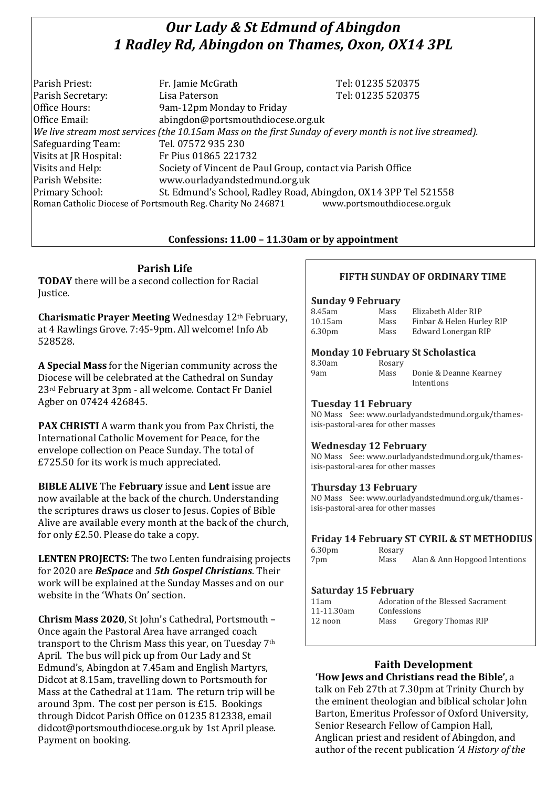# *Our Lady & St Edmund of Abingdon 1 Radley Rd, Abingdon on Thames, Oxon, OX14 3PL*

| Parish Priest:                                                                              | Fr. Jamie McGrath                                                                                        | Tel: 01235 520375 |  |  |
|---------------------------------------------------------------------------------------------|----------------------------------------------------------------------------------------------------------|-------------------|--|--|
| Parish Secretary:                                                                           | Lisa Paterson                                                                                            | Tel: 01235 520375 |  |  |
| Office Hours:                                                                               | 9am-12pm Monday to Friday                                                                                |                   |  |  |
| Office Email:                                                                               | abingdon@portsmouthdiocese.org.uk                                                                        |                   |  |  |
|                                                                                             | We live stream most services (the 10.15am Mass on the first Sunday of every month is not live streamed). |                   |  |  |
| Safeguarding Team:                                                                          | Tel. 07572 935 230                                                                                       |                   |  |  |
| Visits at JR Hospital:                                                                      | Fr Pius 01865 221732                                                                                     |                   |  |  |
| Visits and Help:                                                                            | Society of Vincent de Paul Group, contact via Parish Office                                              |                   |  |  |
| Parish Website:                                                                             | www.ourladyandstedmund.org.uk                                                                            |                   |  |  |
| Primary School:                                                                             | St. Edmund's School, Radley Road, Abingdon, OX14 3PP Tel 521558                                          |                   |  |  |
| www.portsmouthdiocese.org.uk<br>Roman Catholic Diocese of Portsmouth Reg. Charity No 246871 |                                                                                                          |                   |  |  |

### **Confessions: 11.00 – 11.30am or by appointment**

## **Parish Life**

**TODAY** there will be a second collection for Racial Justice.

**Charismatic Prayer Meeting** Wednesday 12th February, at 4 Rawlings Grove. 7:45-9pm. All welcome! Info Ab 528528.

**A Special Mass** for the Nigerian community across the Diocese will be celebrated at the Cathedral on Sunday 23rd February at 3pm - all welcome. Contact Fr Daniel Agber on 07424 426845.

**PAX CHRISTI** A warm thank you from Pax Christi, the International Catholic Movement for Peace, for the envelope collection on Peace Sunday. The total of £725.50 for its work is much appreciated.

**BIBLE ALIVE** The **February** issue and **Lent** issue are now available at the back of the church. Understanding the scriptures draws us closer to Jesus. Copies of Bible Alive are available every month at the back of the church, for only £2.50. Please do take a copy.

**LENTEN PROJECTS:** The two Lenten fundraising projects for 2020 are *BeSpace* and *5th Gospel Christians*. Their work will be explained at the Sunday Masses and on our website in the 'Whats On' section.

**Chrism Mass 2020**, St John's Cathedral, Portsmouth – Once again the Pastoral Area have arranged coach transport to the Chrism Mass this year, on Tuesday 7th April. The bus will pick up from Our Lady and St Edmund's, Abingdon at 7.45am and English Martyrs, Didcot at 8.15am, travelling down to Portsmouth for Mass at the Cathedral at 11am. The return trip will be around 3pm. The cost per person is £15. Bookings through Didcot Parish Office on 01235 812338, email didcot@portsmouthdiocese.org.uk by 1st April please. Payment on booking.

## **FIFTH SUNDAY OF ORDINARY TIME**

#### **Sunday 9 February**

| 8.45am             | Mass | Elizabeth Alder RIP       |
|--------------------|------|---------------------------|
| 10.15am            | Mass | Finbar & Helen Hurley RIP |
| 6.30 <sub>pm</sub> | Mass | Edward Lonergan RIP       |

#### **Monday 10 February St Scholastica**

| 8.30am |  |
|--------|--|
| 9am    |  |
|        |  |

Rosary Mass Donie & Deanne Kearney Intentions

#### **Tuesday 11 February**

NO Mass See: www.ourladyandstedmund.org.uk/thamesisis-pastoral-area for other masses

#### **Wednesday 12 February**

NO Mass See: www.ourladyandstedmund.org.uk/thamesisis-pastoral-area for other masses

#### **Thursday 13 February**

NO Mass See: www.ourladyandstedmund.org.uk/thamesisis-pastoral-area for other masses

#### **Friday 14 February ST CYRIL & ST METHODIUS**

6.30pm Rosary 7pm Mass Alan & Ann Hopgood Intentions

#### **Saturday 15 February**

| 11am       | Adoration of the Blessed Sacrament |                           |  |
|------------|------------------------------------|---------------------------|--|
| 11-11.30am | Confessions                        |                           |  |
| 12 noon    | Mass                               | <b>Gregory Thomas RIP</b> |  |

## **Faith Development**

**'How Jews and Christians read the Bible'**, a talk on Feb 27th at 7.30pm at Trinity Church by the eminent theologian and biblical scholar John Barton, Emeritus Professor of Oxford University, Senior Research Fellow of Campion Hall, Anglican priest and resident of Abingdon, and author of the recent publication *'A History of the*